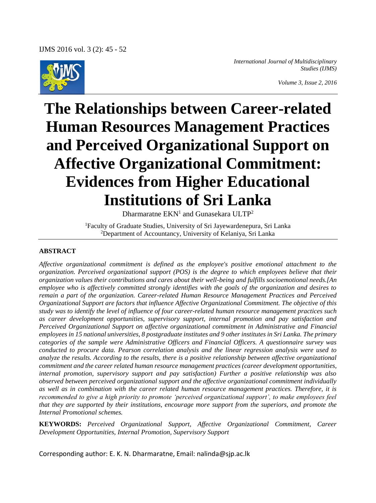

*International Journal of Multidisciplinary Studies (IJMS)*

*Volume 3, Issue 2, 2016*

# **The Relationships between Career-related Human Resources Management Practices and Perceived Organizational Support on Affective Organizational Commitment: Evidences from Higher Educational Institutions of Sri Lanka**

Dharmaratne  $EKN<sup>1</sup>$  and Gunasekara ULTP<sup>2</sup>

<sup>1</sup>Faculty of Graduate Studies, University of Sri Jayewardenepura, Sri Lanka <sup>2</sup>Department of Accountancy, University of Kelaniya, Sri Lanka

#### **ABSTRACT**

*Affective organizational commitment is defined as the employee's positive emotional attachment to the organization. Perceived organizational support (POS) is the degree to which employees believe that their organization values their contributions and cares about their well-being and fulfills socioemotional needs.[An employee who is affectively committed strongly identifies with the goals of the organization and desires to remain a part of the organization. Career-related Human Resource Management Practices and Perceived Organizational Support are factors that influence Affective Organizational Commitment. The objective of this study was to identify the level of influence of four career-related human resource management practices such as career development opportunities, supervisory support, internal promotion and pay satisfaction and Perceived Organizational Support on affective organizational commitment in Administrative and Financial employees in 15 national universities, 8 postgraduate institutes and 9 other institutes in Sri Lanka. The primary categories of the sample were Administrative Officers and Financial Officers. A questionnaire survey was conducted to procure data. Pearson correlation analysis and the linear regression analysis were used to analyze the results. According to the results, there is a positive relationship between affective organizational commitment and the career related human resource management practices (career development opportunities, internal promotion, supervisory support and pay satisfaction) Further a positive relationship was also observed between perceived organizational support and the affective organizational commitment individually as well as in combination with the career related human resource management practices. Therefore, it is recommended to give a high priority to promote 'perceived organizational support', to make employees feel that they are supported by their institutions, encourage more support from the superiors, and promote the Internal Promotional schemes.*

**KEYWORDS:** *Perceived Organizational Support, Affective Organizational Commitment, Career Development Opportunities, Internal Promotion, Supervisory Support*

Corresponding author: E. K. N. Dharmaratne, Email: nalinda@sjp.ac.lk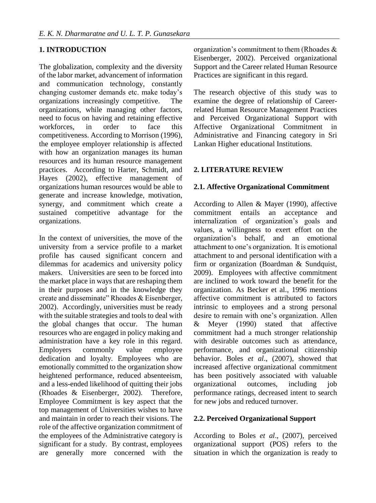## **1. INTRODUCTION**

The globalization, complexity and the diversity of the labor market, advancement of information and communication technology, constantly changing customer demands etc. make today's organizations increasingly competitive. The organizations, while managing other factors, need to focus on having and retaining effective workforces, in order to face this competitiveness. According to Morrison (1996), the employee employer relationship is affected with how an organization manages its human resources and its human resource management practices. According to Harter, Schmidt, and Hayes (2002), effective management of organizations human resources would be able to generate and increase knowledge, motivation, synergy, and commitment which create a sustained competitive advantage for the organizations.

In the context of universities, the move of the university from a service profile to a market profile has caused significant concern and dilemmas for academics and university policy makers. Universities are seen to be forced into the market place in ways that are reshaping them in their purposes and in the knowledge they create and disseminate" Rhoades & Eisenberger, 2002). Accordingly, universities must be ready with the suitable strategies and tools to deal with the global changes that occur. The human resources who are engaged in policy making and administration have a key role in this regard. Employers commonly value employee dedication and loyalty. Employees who are emotionally committed to the organization show heightened performance, reduced absenteeism, and a less-ended likelihood of quitting their jobs (Rhoades & Eisenberger, 2002). Therefore, Employee Commitment is key aspect that the top management of Universities wishes to have and maintain in order to reach their visions. The role of the affective organization commitment of the employees of the Administrative category is significant for a study. By contrast, employees are generally more concerned with the

organization's commitment to them (Rhoades & Eisenberger, 2002). Perceived organizational Support and the Career related Human Resource Practices are significant in this regard.

The research objective of this study was to examine the degree of relationship of Careerrelated Human Resource Management Practices and Perceived Organizational Support with Affective Organizational Commitment in Administrative and Financing category in Sri Lankan Higher educational Institutions.

## **2. LITERATURE REVIEW**

### **2.1. Affective Organizational Commitment**

According to Allen & Mayer (1990), affective commitment entails an acceptance and internalization of organization's goals and values, a willingness to exert effort on the organization's behalf, and an emotional attachment to one's organization. It is emotional attachment to and personal identification with a firm or organization (Boardman & Sundquist, 2009). Employees with affective commitment are inclined to work toward the benefit for the organization. As Becker et al., 1996 mentions affective commitment is attributed to factors intrinsic to employees and a strong personal desire to remain with one's organization. Allen & Meyer (1990) stated that affective commitment had a much stronger relationship with desirable outcomes such as attendance, performance, and organizational citizenship behavior. Boles *et al*., (2007), showed that increased affective organizational commitment has been positively associated with valuable organizational outcomes, including job performance ratings, decreased intent to search for new jobs and reduced turnover.

### **2.2. Perceived Organizational Support**

According to Boles *et al*., (2007), perceived organizational support (POS) refers to the situation in which the organization is ready to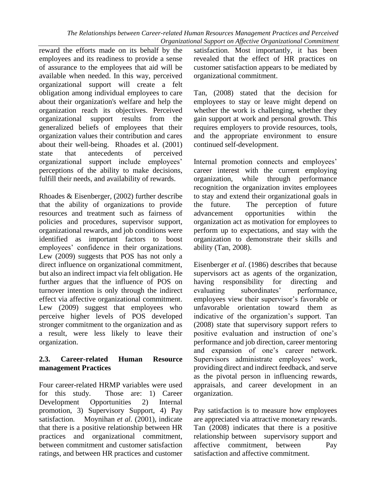*The Relationships between Career-related Human Resources Management Practices and Perceived Organizational Support on Affective Organizational Commitment*

reward the efforts made on its behalf by the employees and its readiness to provide a sense of assurance to the employees that aid will be available when needed. In this way, perceived organizational support will create a felt obligation among individual employees to care about their organization's welfare and help the organization reach its objectives. Perceived organizational support results from the generalized beliefs of employees that their organization values their contribution and cares about their well-being. Rhoades et al. (2001) state that antecedents of perceived organizational support include employees' perceptions of the ability to make decisions, fulfill their needs, and availability of rewards.

Rhoades & Eisenberger, (2002) further describe that the ability of organizations to provide resources and treatment such as fairness of policies and procedures, supervisor support, organizational rewards, and job conditions were identified as important factors to boost employees' confidence in their organizations. Lew (2009) suggests that POS has not only a direct influence on organizational commitment, but also an indirect impact via felt obligation. He further argues that the influence of POS on turnover intention is only through the indirect effect via affective organizational commitment. Lew (2009) suggest that employees who perceive higher levels of POS developed stronger commitment to the organization and as a result, were less likely to leave their organization.

### **2.3. Career-related Human Resource management Practices**

Four career-related HRMP variables were used for this study. Those are: 1) Career Development Opportunities 2) Internal promotion, 3) Supervisory Support, 4) Pay satisfaction. Moynihan *et al.* (2001), indicate that there is a positive relationship between HR practices and organizational commitment, between commitment and customer satisfaction ratings, and between HR practices and customer

satisfaction. Most importantly, it has been revealed that the effect of HR practices on customer satisfaction appears to be mediated by organizational commitment.

Tan, (2008) stated that the decision for employees to stay or leave might depend on whether the work is challenging, whether they gain support at work and personal growth. This requires employers to provide resources, tools, and the appropriate environment to ensure continued self-development.

Internal promotion connects and employees' career interest with the current employing organization, while through performance recognition the organization invites employees to stay and extend their organizational goals in the future. The perception of future advancement opportunities within the organization act as motivation for employees to perform up to expectations, and stay with the organization to demonstrate their skills and ability (Tan, 2008).

Eisenberger *et al*. (1986) describes that because supervisors act as agents of the organization, having responsibility for directing and evaluating subordinates' performance, employees view their supervisor's favorable or unfavorable orientation toward them as indicative of the organization's support. Tan (2008) state that supervisory support refers to positive evaluation and instruction of one's performance and job direction, career mentoring and expansion of one's career network. Supervisors administrate employees' work, providing direct and indirect feedback, and serve as the pivotal person in influencing rewards, appraisals, and career development in an organization.

Pay satisfaction is to measure how employees are appreciated via attractive monetary rewards. Tan (2008) indicates that there is a positive relationship between supervisory support and affective commitment, between Pay satisfaction and affective commitment.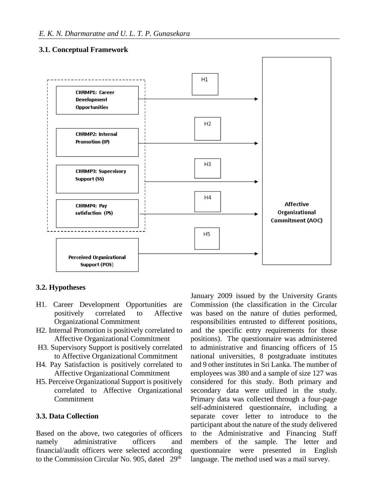## **3.1. Conceptual Framework**



### **3.2. Hypotheses**

- H1. Career Development Opportunities are positively correlated to Affective Organizational Commitment
- H2. Internal Promotion is positively correlated to Affective Organizational Commitment
- H3. Supervisory Support is positively correlated to Affective Organizational Commitment
- H4. Pay Satisfaction is positively correlated to Affective Organizational Commitment
- H5. Perceive Organizational Support is positively correlated to Affective Organizational Commitment

#### **3.3. Data Collection**

Based on the above, two categories of officers namely administrative officers and financial/audit officers were selected according to the Commission Circular No. 905, dated 29<sup>th</sup>

January 2009 issued by the University Grants Commission (the classification in the Circular was based on the nature of duties performed, responsibilities entrusted to different positions, and the specific entry requirements for those positions). The questionnaire was administered to administrative and financing officers of 15 national universities, 8 postgraduate institutes and 9 other institutes in Sri Lanka. The number of employees was 380 and a sample of size 127 was considered for this study. Both primary and secondary data were utilized in the study. Primary data was collected through a four-page self-administered questionnaire, including a separate cover letter to introduce to the participant about the nature of the study delivered to the Administrative and Financing Staff members of the sample. The letter and questionnaire were presented in English language. The method used was a mail survey.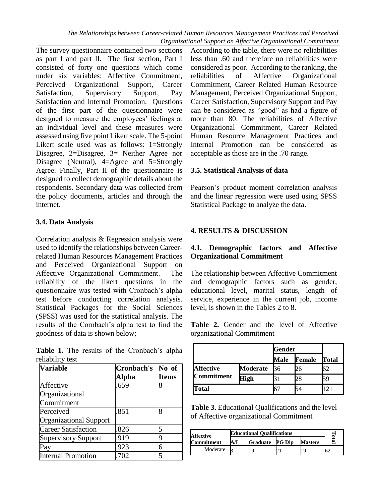*The Relationships between Career-related Human Resources Management Practices and Perceived Organizational Support on Affective Organizational Commitment*

The survey questionnaire contained two sections as part I and part II. The first section, Part I consisted of forty one questions which come under six variables: Affective Commitment, Perceived Organizational Support, Career Satisfaction, Supervisory Support, Pay Satisfaction and Internal Promotion. Questions of the first part of the questionnaire were designed to measure the employees' feelings at an individual level and these measures were assessed using five point Likert scale. The 5-point Likert scale used was as follows: 1=Strongly Disagree, 2=Disagree, 3= Neither Agree nor Disagree (Neutral), 4=Agree and 5=Strongly Agree. Finally, Part II of the questionnaire is designed to collect demographic details about the respondents. Secondary data was collected from the policy documents, articles and through the internet.

### **3.4. Data Analysis**

Correlation analysis & Regression analysis were used to identify the relationships between Careerrelated Human Resources Management Practices and Perceived Organizational Support on Affective Organizational Commitment. The reliability of the likert questions in the questionnaire was tested with Cronbach's alpha test before conducting correlation analysis. Statistical Packages for the Social Sciences (SPSS) was used for the statistical analysis. The results of the Cornbach's alpha test to find the goodness of data is shown below;

**Table 1.** The results of the Cronbach's alpha reliability test

| <b>Variable</b>               | Cronbach's | No of        |
|-------------------------------|------------|--------------|
|                               | Alpha      | <b>Items</b> |
| Affective                     | .659       | 8            |
| Organizational                |            |              |
| Commitment                    |            |              |
| Perceived                     | .851       | 8            |
| <b>Organizational Support</b> |            |              |
| <b>Career Satisfaction</b>    | .826       | 5            |
| <b>Supervisory Support</b>    | .919       | q            |
| Pay                           | .923       | 6            |
| <b>Internal Promotion</b>     | .702       |              |

According to the table, there were no reliabilities less than .60 and therefore no reliabilities were considered as poor. According to the ranking, the reliabilities of Affective Organizational Commitment, Career Related Human Resource Management, Perceived Organizational Support, Career Satisfaction, Supervisory Support and Pay can be considered as "good" as had a figure of more than 80. The reliabilities of Affective Organizational Commitment, Career Related Human Resource Management Practices and Internal Promotion can be considered as acceptable as those are in the .70 range.

### **3.5. Statistical Analysis of data**

Pearson's product moment correlation analysis and the linear regression were used using SPSS Statistical Package to analyze the data.

## **4. RESULTS & DISCUSSION**

## **4.1. Demographic factors and Affective Organizational Commitment**

The relationship between Affective Commitment and demographic factors such as gender, educational level, marital status, length of service, experience in the current job, income level, is shown in the Tables 2 to 8.

**Table 2.** Gender and the level of Affective organizational Commitment

|                   |                 | Gender |        |       |
|-------------------|-----------------|--------|--------|-------|
|                   |                 | Male   | Female | Total |
| <b>Affective</b>  | <b>Moderate</b> | 36     | 26     | 62    |
| <b>Commitment</b> | High            |        | 28     |       |
| lotal             |                 |        |        |       |

**Table 3.** Educational Qualifications and the level of Affective organizational Commitment

| Affective  |    | <b>Educational Qualifications</b> |               |                |  |
|------------|----|-----------------------------------|---------------|----------------|--|
| Commitment | AA | Graduate                          | <b>PG Dip</b> | <b>Masters</b> |  |
| Moderate   |    |                                   |               |                |  |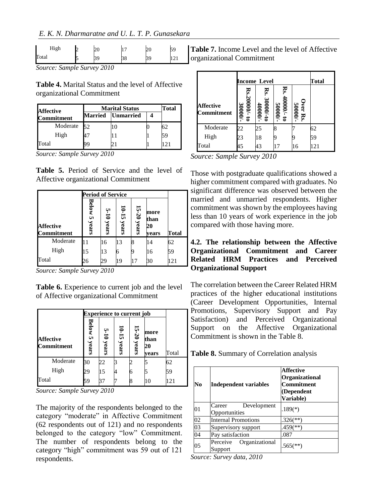| High  | $\Omega$<br>∠∪ |    | hr<br>ΖU | ςc       |  |
|-------|----------------|----|----------|----------|--|
| Total | ◡              | υŏ |          | $\sim$ 1 |  |

*Source: Sample Survey 2010*

**Table 4.** Marital Status and the level of Affective organizational Commitment

| <b>Affective</b> |                | <b>Marital Status</b> |  |    |  |  |
|------------------|----------------|-----------------------|--|----|--|--|
| Commitment       | <b>Married</b> | <b>Unmarried</b>      |  |    |  |  |
| Moderate         | 50             |                       |  |    |  |  |
| High             | 17             |                       |  | 5g |  |  |
| Total            |                |                       |  |    |  |  |

*Source: Sample Survey 2010*

**Table 5.** Period of Service and the level of Affective organizational Commitment

|                                | <b>Period of Service</b> |                   |                    |                |                             |       |
|--------------------------------|--------------------------|-------------------|--------------------|----------------|-----------------------------|-------|
| <b>Affective</b><br>Commitment | <b>Below 5</b><br>years  | $5 - 10$<br>years | $10 - 15$<br>years | 15-20<br>years | more<br>than<br>20<br>years | Total |
| Moderate                       |                          | 16                | 13                 |                | 14                          | 62    |
| High                           | 15                       | 13                | 6                  |                | 16                          | 59    |
| Total                          | 26                       | 29                | 19                 | 17             | 30                          | 121   |

*Source: Sample Survey 2010*

**Table 6.** Experience to current job and the level of Affective organizational Commitment

|                                | <b>Experience to current job</b> |                   |                  |            |                             |       |  |
|--------------------------------|----------------------------------|-------------------|------------------|------------|-----------------------------|-------|--|
| <b>Affective</b><br>Commitment | Below 5<br>years                 | $5 - 10$<br>years | $10-15$<br>years | 5-20 years | more<br>than<br>20<br>vears | Total |  |
| Moderate                       | 30                               | 22                |                  |            |                             | 62    |  |
| High                           | 29                               | 15                |                  | 6          |                             | 59    |  |
| Total                          | 59                               |                   |                  | 8          | 10                          | 121   |  |

*Source: Sample Survey 2010*

The majority of the respondents belonged to the category "moderate" in Affective Commitment (62 respondents out of 121) and no respondents belonged to the category "low" Commitment. The number of respondents belong to the category "high" commitment was 59 out of 121 respondents.

**Table 7.** Income Level and the level of Affective organizational Commitment

|                                | Income Level                   |                     |                                |                     | Total |
|--------------------------------|--------------------------------|---------------------|--------------------------------|---------------------|-------|
| <b>Affective</b><br>Commitment | Rs.21<br>$000/-$ to<br>30000/- | Rs.<br>$.30000/-10$ | Rs.<br>$\frac{-700005}{20000}$ | Over Rs.<br>50000/- |       |
| Moderate                       | 25                             | 25                  |                                |                     | 62    |
| High                           | 23                             | 18                  |                                |                     | 59    |
| Total                          | 45                             | 43                  | 17                             | 16                  | 121   |

*Source: Sample Survey 2010*

Those with postgraduate qualifications showed a higher commitment compared with graduates. No significant difference was observed between the married and unmarried respondents. Higher commitment was shown by the employees having less than 10 years of work experience in the job compared with those having more.

## **4.2. The relationship between the Affective Organizational Commitment and Career Related HRM Practices and Perceived Organizational Support**

The correlation between the Career Related HRM practices of the higher educational institutions (Career Development Opportunities, Internal Promotions, Supervisory Support and Pay Satisfaction) and Perceived Organizational Support on the Affective Organizational Commitment is shown in the Table 8.

**Table 8.** Summary of Correlation analysis

| No | Independent variables                  | <b>Affective</b><br><b>Organizational</b><br><b>Commitment</b><br>(Dependent<br><b>Variable)</b> |
|----|----------------------------------------|--------------------------------------------------------------------------------------------------|
| 01 | Development<br>Career<br>Opportunities | $.189(*)$                                                                                        |
| 02 | <b>Internal Promotions</b>             | $.326$ <sup>(**)</sup>                                                                           |
| 03 | Supervisory support                    | $.459$ <sup>(**)</sup> )                                                                         |
| 04 | Pay satisfaction                       | .087                                                                                             |
| 05 | Perceive<br>Organizational<br>Support  | $.565$ <sup>(**)</sup>                                                                           |

*Source: Survey data, 2010*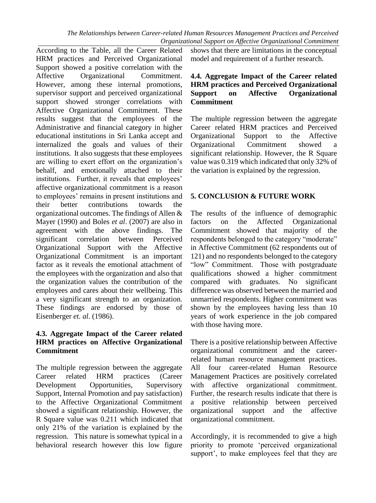According to the Table, all the Career Related HRM practices and Perceived Organizational Support showed a positive correlation with the Affective Organizational Commitment. However, among these internal promotions, supervisor support and perceived organizational support showed stronger correlations with Affective Organizational Commitment. These results suggest that the employees of the Administrative and financial category in higher educational institutions in Sri Lanka accept and internalized the goals and values of their institutions. It also suggests that these employees are willing to exert effort on the organization's behalf, and emotionally attached to their institutions. Further, it reveals that employees' affective organizational commitment is a reason to employees' remains in present institutions and their better contributions towards the organizational outcomes. The findings of Allen & Mayer (1990) and Boles *et al*. (2007) are also in agreement with the above findings. The significant correlation between Perceived Organizational Support with the Affective Organizational Commitment is an important factor as it reveals the emotional attachment of the employees with the organization and also that the organization values the contribution of the employees and cares about their wellbeing. This a very significant strength to an organization. These findings are endorsed by those of Eisenberger *et. al*. (1986).

### **4.3. Aggregate Impact of the Career related HRM practices on Affective Organizational Commitment**

The multiple regression between the aggregate Career related HRM practices (Career Development Opportunities, Supervisory Support, Internal Promotion and pay satisfaction) to the Affective Organizational Commitment showed a significant relationship. However, the R Square value was 0.211 which indicated that only 21% of the variation is explained by the regression. This nature is somewhat typical in a behavioral research however this low figure

shows that there are limitations in the conceptual model and requirement of a further research.

### **4.4. Aggregate Impact of the Career related HRM practices and Perceived Organizational Support on Affective Organizational Commitment**

The multiple regression between the aggregate Career related HRM practices and Perceived Organizational Support to the Affective Organizational Commitment showed a significant relationship. However, the R Square value was 0.319 which indicated that only 32% of the variation is explained by the regression.

## **5. CONCLUSION & FUTURE WORK**

The results of the influence of demographic factors on the Affected Organizational Commitment showed that majority of the respondents belonged to the category "moderate" in Affective Commitment (62 respondents out of 121) and no respondents belonged to the category "low" Commitment. Those with postgraduate qualifications showed a higher commitment compared with graduates. No significant difference was observed between the married and unmarried respondents. Higher commitment was shown by the employees having less than 10 years of work experience in the job compared with those having more.

There is a positive relationship between Affective organizational commitment and the careerrelated human resource management practices. All four career-related Human Resource Management Practices are positively correlated with affective organizational commitment. Further, the research results indicate that there is a positive relationship between perceived organizational support and the affective organizational commitment.

Accordingly, it is recommended to give a high priority to promote 'perceived organizational support', to make employees feel that they are